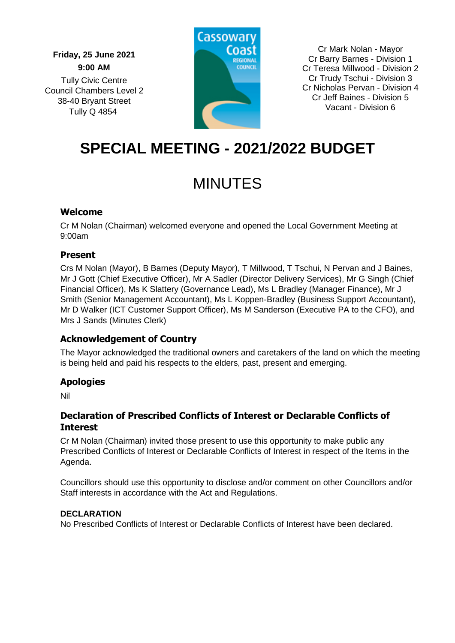**Friday, 25 June 2021 9:00 AM** Tully Civic Centre Council Chambers Level 2 38-40 Bryant Street Tully Q 4854



Cr Mark Nolan - Mayor Cr Barry Barnes - Division 1 Cr Teresa Millwood - Division 2 Cr Trudy Tschui - Division 3 Cr Nicholas Pervan - Division 4 Cr Jeff Baines - Division 5 Vacant - Division 6

# **SPECIAL MEETING - 2021/2022 BUDGET**

# MINUTES

# **Welcome**

Cr M Nolan (Chairman) welcomed everyone and opened the Local Government Meeting at 9:00am

# **Present**

Crs M Nolan (Mayor), B Barnes (Deputy Mayor), T Millwood, T Tschui, N Pervan and J Baines, Mr J Gott (Chief Executive Officer), Mr A Sadler (Director Delivery Services), Mr G Singh (Chief Financial Officer), Ms K Slattery (Governance Lead), Ms L Bradley (Manager Finance), Mr J Smith (Senior Management Accountant), Ms L Koppen-Bradley (Business Support Accountant), Mr D Walker (ICT Customer Support Officer), Ms M Sanderson (Executive PA to the CFO), and Mrs J Sands (Minutes Clerk)

# **Acknowledgement of Country**

The Mayor acknowledged the traditional owners and caretakers of the land on which the meeting is being held and paid his respects to the elders, past, present and emerging.

# **Apologies**

Nil

# **Declaration of Prescribed Conflicts of Interest or Declarable Conflicts of Interest**

Cr M Nolan (Chairman) invited those present to use this opportunity to make public any Prescribed Conflicts of Interest or Declarable Conflicts of Interest in respect of the Items in the Agenda.

Councillors should use this opportunity to disclose and/or comment on other Councillors and/or Staff interests in accordance with the Act and Regulations.

# **DECLARATION**

No Prescribed Conflicts of Interest or Declarable Conflicts of Interest have been declared.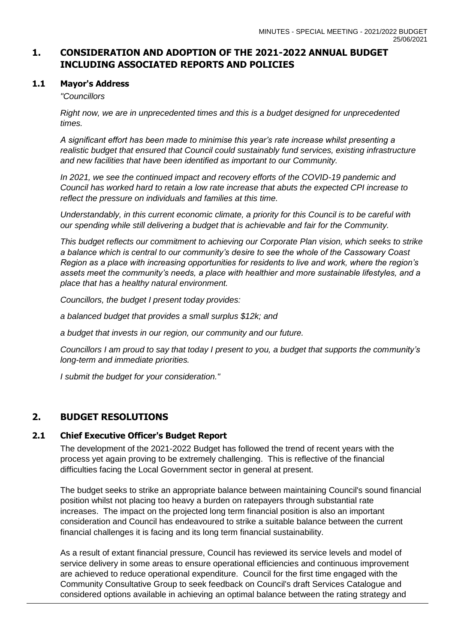# **1. CONSIDERATION AND ADOPTION OF THE 2021-2022 ANNUAL BUDGET INCLUDING ASSOCIATED REPORTS AND POLICIES**

#### **1.1 Mayor's Address**

#### *"Councillors*

*Right now, we are in unprecedented times and this is a budget designed for unprecedented times.*

*A significant effort has been made to minimise this year's rate increase whilst presenting a realistic budget that ensured that Council could sustainably fund services, existing infrastructure and new facilities that have been identified as important to our Community.*

In 2021, we see the continued impact and recovery efforts of the COVID-19 pandemic and *Council has worked hard to retain a low rate increase that abuts the expected CPI increase to reflect the pressure on individuals and families at this time.* 

*Understandably, in this current economic climate, a priority for this Council is to be careful with our spending while still delivering a budget that is achievable and fair for the Community.*

*This budget reflects our commitment to achieving our Corporate Plan vision, which seeks to strike a balance which is central to our community's desire to see the whole of the Cassowary Coast Region as a place with increasing opportunities for residents to live and work, where the region's assets meet the community's needs, a place with healthier and more sustainable lifestyles, and a place that has a healthy natural environment.*

*Councillors, the budget I present today provides:*

*a balanced budget that provides a small surplus \$12k; and*

*a budget that invests in our region, our community and our future.*

*Councillors I am proud to say that today I present to you, a budget that supports the community's long-term and immediate priorities.*

*I submit the budget for your consideration."*

# **2. BUDGET RESOLUTIONS**

# **2.1 Chief Executive Officer's Budget Report**

The development of the 2021-2022 Budget has followed the trend of recent years with the process yet again proving to be extremely challenging. This is reflective of the financial difficulties facing the Local Government sector in general at present.

The budget seeks to strike an appropriate balance between maintaining Council's sound financial position whilst not placing too heavy a burden on ratepayers through substantial rate increases. The impact on the projected long term financial position is also an important consideration and Council has endeavoured to strike a suitable balance between the current financial challenges it is facing and its long term financial sustainability.

As a result of extant financial pressure, Council has reviewed its service levels and model of service delivery in some areas to ensure operational efficiencies and continuous improvement are achieved to reduce operational expenditure. Council for the first time engaged with the Community Consultative Group to seek feedback on Council's draft Services Catalogue and considered options available in achieving an optimal balance between the rating strategy and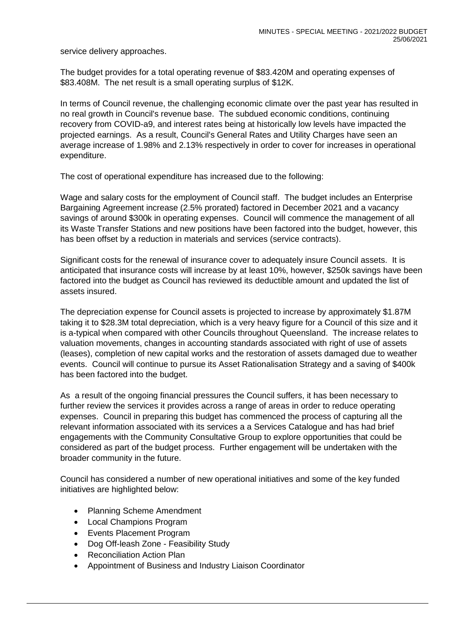service delivery approaches.

The budget provides for a total operating revenue of \$83.420M and operating expenses of \$83.408M. The net result is a small operating surplus of \$12K.

In terms of Council revenue, the challenging economic climate over the past year has resulted in no real growth in Council's revenue base. The subdued economic conditions, continuing recovery from COVID-a9, and interest rates being at historically low levels have impacted the projected earnings. As a result, Council's General Rates and Utility Charges have seen an average increase of 1.98% and 2.13% respectively in order to cover for increases in operational expenditure.

The cost of operational expenditure has increased due to the following:

Wage and salary costs for the employment of Council staff. The budget includes an Enterprise Bargaining Agreement increase (2.5% prorated) factored in December 2021 and a vacancy savings of around \$300k in operating expenses. Council will commence the management of all its Waste Transfer Stations and new positions have been factored into the budget, however, this has been offset by a reduction in materials and services (service contracts).

Significant costs for the renewal of insurance cover to adequately insure Council assets. It is anticipated that insurance costs will increase by at least 10%, however, \$250k savings have been factored into the budget as Council has reviewed its deductible amount and updated the list of assets insured.

The depreciation expense for Council assets is projected to increase by approximately \$1.87M taking it to \$28.3M total depreciation, which is a very heavy figure for a Council of this size and it is a-typical when compared with other Councils throughout Queensland. The increase relates to valuation movements, changes in accounting standards associated with right of use of assets (leases), completion of new capital works and the restoration of assets damaged due to weather events. Council will continue to pursue its Asset Rationalisation Strategy and a saving of \$400k has been factored into the budget.

As a result of the ongoing financial pressures the Council suffers, it has been necessary to further review the services it provides across a range of areas in order to reduce operating expenses. Council in preparing this budget has commenced the process of capturing all the relevant information associated with its services a a Services Catalogue and has had brief engagements with the Community Consultative Group to explore opportunities that could be considered as part of the budget process. Further engagement will be undertaken with the broader community in the future.

Council has considered a number of new operational initiatives and some of the key funded initiatives are highlighted below:

- Planning Scheme Amendment
- Local Champions Program
- Events Placement Program
- Dog Off-leash Zone Feasibility Study
- Reconciliation Action Plan
- Appointment of Business and Industry Liaison Coordinator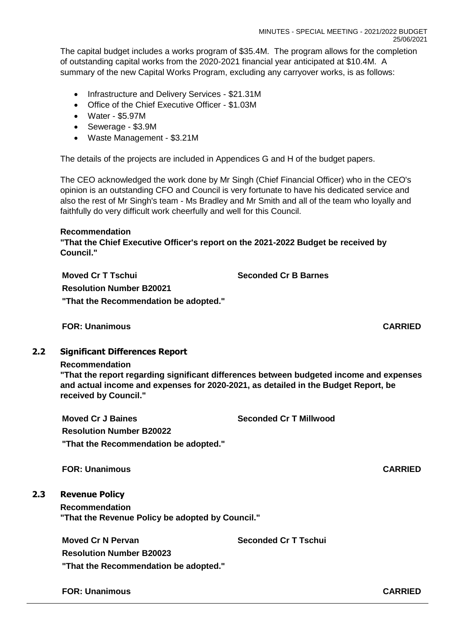The capital budget includes a works program of \$35.4M. The program allows for the completion of outstanding capital works from the 2020-2021 financial year anticipated at \$10.4M. A summary of the new Capital Works Program, excluding any carryover works, is as follows:

- Infrastructure and Delivery Services \$21.31M
- Office of the Chief Executive Officer \$1.03M
- Water \$5.97M
- Sewerage \$3.9M
- Waste Management \$3.21M

The details of the projects are included in Appendices G and H of the budget papers.

The CEO acknowledged the work done by Mr Singh (Chief Financial Officer) who in the CEO's opinion is an outstanding CFO and Council is very fortunate to have his dedicated service and also the rest of Mr Singh's team - Ms Bradley and Mr Smith and all of the team who loyally and faithfully do very difficult work cheerfully and well for this Council.

#### **Recommendation**

**"That the Chief Executive Officer's report on the 2021-2022 Budget be received by Council."**

**Moved Cr T Tschui Seconded Cr B Barnes**

**Resolution Number B20021**

**"That the Recommendation be adopted."**

**FOR: Unanimous CARRIED**

# **2.2 Significant Differences Report**

#### **Recommendation**

**"That the report regarding significant differences between budgeted income and expenses and actual income and expenses for 2020-2021, as detailed in the Budget Report, be received by Council."**

**Moved Cr J Baines Seconded Cr T Millwood Resolution Number B20022 "That the Recommendation be adopted."**

**FOR: Unanimous CARRIED**

# **2.3 Revenue Policy**

**Recommendation**

**"That the Revenue Policy be adopted by Council."**

**Moved Cr N Pervan Seconded Cr T Tschui**

**Resolution Number B20023**

**"That the Recommendation be adopted."**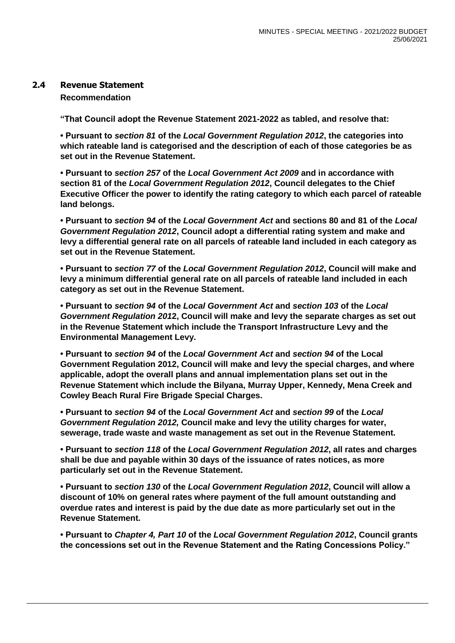#### **2.4 Revenue Statement**

#### **Recommendation**

**"That Council adopt the Revenue Statement 2021-2022 as tabled, and resolve that:**

**• Pursuant to** *section 81* **of the** *Local Government Regulation 2012***, the categories into which rateable land is categorised and the description of each of those categories be as set out in the Revenue Statement.**

**• Pursuant to** *section 257* **of the** *Local Government Act 2009* **and in accordance with section 81 of the** *Local Government Regulation 2012***, Council delegates to the Chief Executive Officer the power to identify the rating category to which each parcel of rateable land belongs.**

**• Pursuant to** *section 94* **of the** *Local Government Act* **and sections 80 and 81 of the** *Local Government Regulation 2012***, Council adopt a differential rating system and make and levy a differential general rate on all parcels of rateable land included in each category as set out in the Revenue Statement.**

**• Pursuant to** *section 77* **of the** *Local Government Regulation 2012***, Council will make and levy a minimum differential general rate on all parcels of rateable land included in each category as set out in the Revenue Statement.**

**• Pursuant to** *section 94* **of the** *Local Government Act* **and** *section 103* **of the** *Local Government Regulation 201***2, Council will make and levy the separate charges as set out in the Revenue Statement which include the Transport Infrastructure Levy and the Environmental Management Levy.**

**• Pursuant to** *section 94* **of the** *Local Government Act* **and** *section 94* **of the Local Government Regulation 2012, Council will make and levy the special charges, and where applicable, adopt the overall plans and annual implementation plans set out in the Revenue Statement which include the Bilyana, Murray Upper, Kennedy, Mena Creek and Cowley Beach Rural Fire Brigade Special Charges.**

**• Pursuant to** *section 94* **of the** *Local Government Act* **and** *section 99* **of the** *Local Government Regulation 2012,* **Council make and levy the utility charges for water, sewerage, trade waste and waste management as set out in the Revenue Statement.**

**• Pursuant to** *section 118* **of the** *Local Government Regulation 2012***, all rates and charges shall be due and payable within 30 days of the issuance of rates notices, as more particularly set out in the Revenue Statement.**

**• Pursuant to** *section 130* **of the** *Local Government Regulation 2012***, Council will allow a discount of 10% on general rates where payment of the full amount outstanding and overdue rates and interest is paid by the due date as more particularly set out in the Revenue Statement.**

**• Pursuant to** *Chapter 4, Part 10* **of the** *Local Government Regulation 2012***, Council grants the concessions set out in the Revenue Statement and the Rating Concessions Policy."**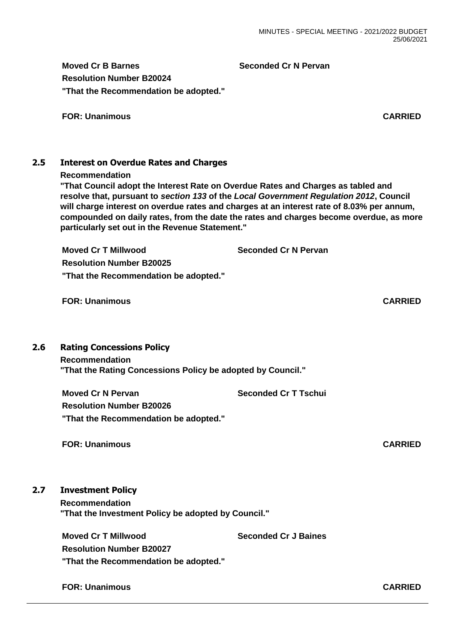**Moved Cr B Barnes Seconded Cr N Pervan**

**Resolution Number B20024 "That the Recommendation be adopted."**

**FOR: Unanimous CARRIED**

# **2.5 Interest on Overdue Rates and Charges**

#### **Recommendation**

**"That Council adopt the Interest Rate on Overdue Rates and Charges as tabled and resolve that, pursuant to** *section 133* **of the** *Local Government Regulation 2012***, Council will charge interest on overdue rates and charges at an interest rate of 8.03% per annum, compounded on daily rates, from the date the rates and charges become overdue, as more particularly set out in the Revenue Statement."**

**Moved Cr T Millwood Seconded Cr N Pervan**

**Resolution Number B20025 "That the Recommendation be adopted."**

**FOR: Unanimous CARRIED**

# **2.6 Rating Concessions Policy**

**Recommendation "That the Rating Concessions Policy be adopted by Council."**

**Moved Cr N Pervan Seconded Cr T Tschui Resolution Number B20026 "That the Recommendation be adopted."**

**FOR: Unanimous CARRIED**

# **2.7 Investment Policy**

**Recommendation "That the Investment Policy be adopted by Council."**

**Moved Cr T Millwood Seconded Cr J Baines** 

**Resolution Number B20027 "That the Recommendation be adopted."**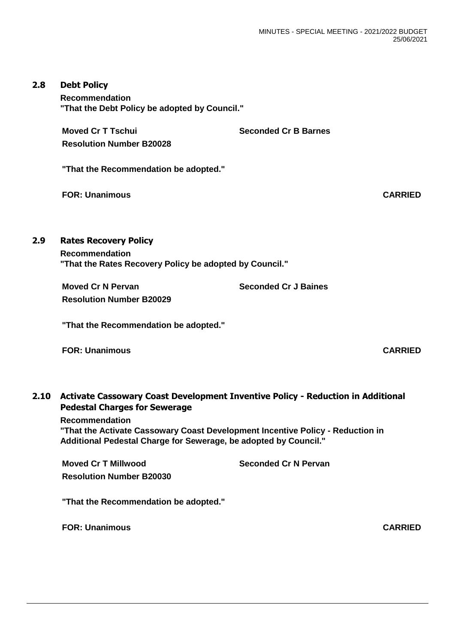#### **2.8 Debt Policy**

**Recommendation "That the Debt Policy be adopted by Council."**

**Moved Cr T Tschui Seconded Cr B Barnes Resolution Number B20028**

**"That the Recommendation be adopted."**

**FOR: Unanimous CARRIED**

# **2.9 Rates Recovery Policy**

**Recommendation "That the Rates Recovery Policy be adopted by Council."**

**Moved Cr N Pervan Seconded Cr J Baines Resolution Number B20029**

**"That the Recommendation be adopted."**

**FOR: Unanimous CARRIED**

# **2.10 Activate Cassowary Coast Development Inventive Policy - Reduction in Additional Pedestal Charges for Sewerage**

**Recommendation "That the Activate Cassowary Coast Development Incentive Policy - Reduction in Additional Pedestal Charge for Sewerage, be adopted by Council."**

**Moved Cr T Millwood Seconded Cr N Pervan Resolution Number B20030**

**"That the Recommendation be adopted."**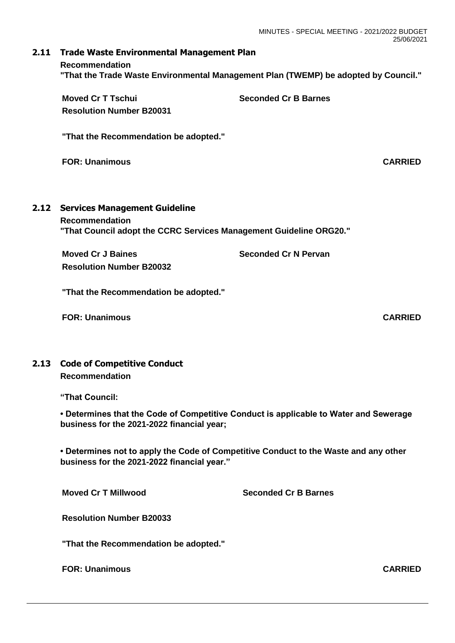### **2.11 Trade Waste Environmental Management Plan Recommendation "That the Trade Waste Environmental Management Plan (TWEMP) be adopted by Council."**

|      | <b>Moved Cr T Tschui</b><br><b>Resolution Number B20031</b>                                                                         | <b>Seconded Cr B Barnes</b> |                |
|------|-------------------------------------------------------------------------------------------------------------------------------------|-----------------------------|----------------|
|      | "That the Recommendation be adopted."                                                                                               |                             |                |
|      | <b>FOR: Unanimous</b>                                                                                                               |                             | <b>CARRIED</b> |
| 2.12 | <b>Services Management Guideline</b><br><b>Recommendation</b><br>"That Council adopt the CCRC Services Management Guideline ORG20." |                             |                |
|      | <b>Moved Cr J Baines</b><br><b>Resolution Number B20032</b>                                                                         | <b>Seconded Cr N Pervan</b> |                |

**"That the Recommendation be adopted."**

**FOR: Unanimous CARRIED**

# **2.13 Code of Competitive Conduct Recommendation**

**"That Council:**

**• Determines that the Code of Competitive Conduct is applicable to Water and Sewerage business for the 2021-2022 financial year;**

**• Determines not to apply the Code of Competitive Conduct to the Waste and any other business for the 2021-2022 financial year."**

**Moved Cr T Millwood Seconded Cr B Barnes**

**Resolution Number B20033**

**"That the Recommendation be adopted."**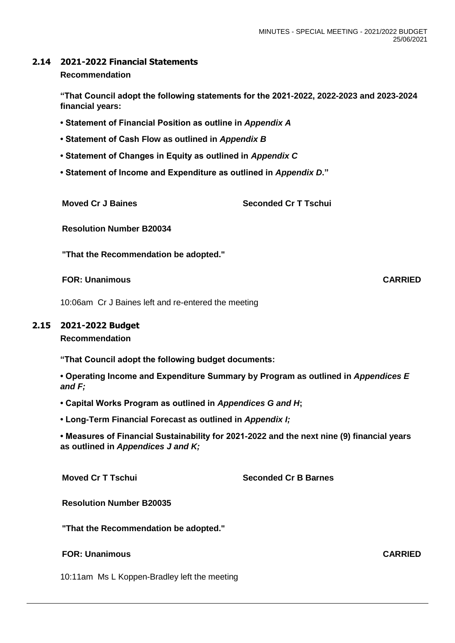# **2.14 2021-2022 Financial Statements**

#### **Recommendation**

**"That Council adopt the following statements for the 2021-2022, 2022-2023 and 2023-2024 financial years:**

- **Statement of Financial Position as outline in** *Appendix A*
- **Statement of Cash Flow as outlined in** *Appendix B*
- **Statement of Changes in Equity as outlined in** *Appendix C*
- **Statement of Income and Expenditure as outlined in** *Appendix D***."**

**Moved Cr J Baines Seconded Cr T Tschui** 

**Resolution Number B20034**

**"That the Recommendation be adopted."**

**FOR: Unanimous CARRIED**

10:06am Cr J Baines left and re-entered the meeting

### **2.15 2021-2022 Budget**

**Recommendation**

**"That Council adopt the following budget documents:**

**• Operating Income and Expenditure Summary by Program as outlined in** *Appendices E and F;*

**• Capital Works Program as outlined in** *Appendices G and H***;**

**• Long-Term Financial Forecast as outlined in** *Appendix I;*

**• Measures of Financial Sustainability for 2021-2022 and the next nine (9) financial years as outlined in** *Appendices J and K;*

**Moved Cr T Tschui Seconded Cr B Barnes**

**Resolution Number B20035**

**"That the Recommendation be adopted."**

#### **FOR: Unanimous CARRIED**

10:11am Ms L Koppen-Bradley left the meeting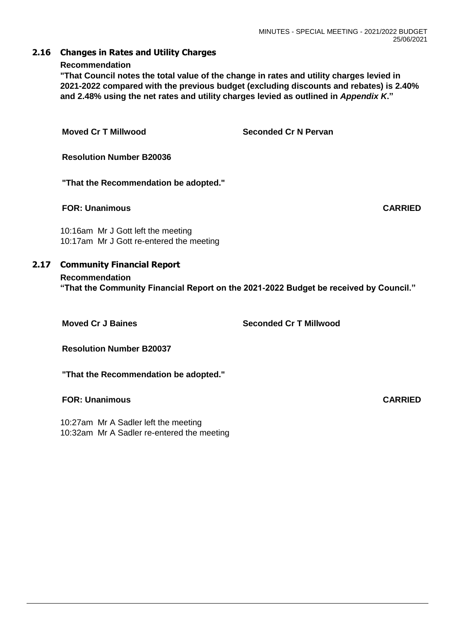#### **2.16 Changes in Rates and Utility Charges**

#### **Recommendation**

**"That Council notes the total value of the change in rates and utility charges levied in 2021-2022 compared with the previous budget (excluding discounts and rebates) is 2.40% and 2.48% using the net rates and utility charges levied as outlined in** *Appendix K***."**

| <b>Moved Cr T Millwood</b>                                                     | <b>Seconded Cr N Pervan</b> |  |  |
|--------------------------------------------------------------------------------|-----------------------------|--|--|
| <b>Resolution Number B20036</b>                                                |                             |  |  |
| "That the Recommendation be adopted."                                          |                             |  |  |
| <b>FOR: Unanimous</b>                                                          | <b>CARRIED</b>              |  |  |
| 10:16am Mr J Gott left the meeting<br>10:17am Mr J Gott re-entered the meeting |                             |  |  |
| <b>Community Financial Report</b>                                              |                             |  |  |

# **Recommendation "That the Community Financial Report on the 2021-2022 Budget be received by Council."**

 $2.17$ 

**Moved Cr J Baines Canadian Seconded Cr T Millwood** 

**Resolution Number B20037**

**"That the Recommendation be adopted."**

# **FOR: Unanimous CARRIED**

10:27am Mr A Sadler left the meeting 10:32am Mr A Sadler re-entered the meeting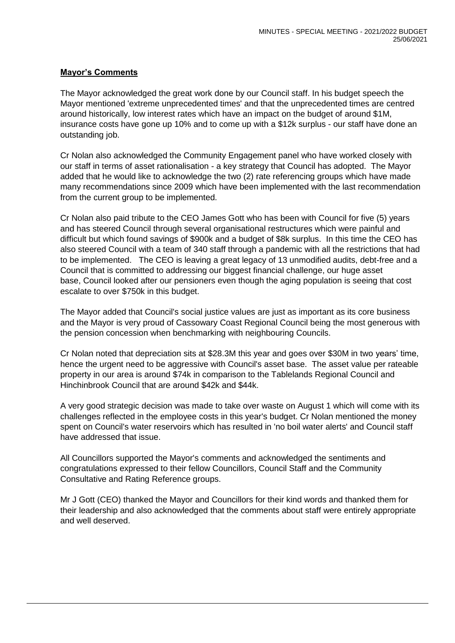### **Mayor's Comments**

The Mayor acknowledged the great work done by our Council staff. In his budget speech the Mayor mentioned 'extreme unprecedented times' and that the unprecedented times are centred around historically, low interest rates which have an impact on the budget of around \$1M, insurance costs have gone up 10% and to come up with a \$12k surplus - our staff have done an outstanding job.

Cr Nolan also acknowledged the Community Engagement panel who have worked closely with our staff in terms of asset rationalisation - a key strategy that Council has adopted. The Mayor added that he would like to acknowledge the two (2) rate referencing groups which have made many recommendations since 2009 which have been implemented with the last recommendation from the current group to be implemented.

Cr Nolan also paid tribute to the CEO James Gott who has been with Council for five (5) years and has steered Council through several organisational restructures which were painful and difficult but which found savings of \$900k and a budget of \$8k surplus. In this time the CEO has also steered Council with a team of 340 staff through a pandemic with all the restrictions that had to be implemented. The CEO is leaving a great legacy of 13 unmodified audits, debt-free and a Council that is committed to addressing our biggest financial challenge, our huge asset base, Council looked after our pensioners even though the aging population is seeing that cost escalate to over \$750k in this budget.

The Mayor added that Council's social justice values are just as important as its core business and the Mayor is very proud of Cassowary Coast Regional Council being the most generous with the pension concession when benchmarking with neighbouring Councils.

Cr Nolan noted that depreciation sits at \$28.3M this year and goes over \$30M in two years' time, hence the urgent need to be aggressive with Council's asset base. The asset value per rateable property in our area is around \$74k in comparison to the Tablelands Regional Council and Hinchinbrook Council that are around \$42k and \$44k.

A very good strategic decision was made to take over waste on August 1 which will come with its challenges reflected in the employee costs in this year's budget. Cr Nolan mentioned the money spent on Council's water reservoirs which has resulted in 'no boil water alerts' and Council staff have addressed that issue.

All Councillors supported the Mayor's comments and acknowledged the sentiments and congratulations expressed to their fellow Councillors, Council Staff and the Community Consultative and Rating Reference groups.

Mr J Gott (CEO) thanked the Mayor and Councillors for their kind words and thanked them for their leadership and also acknowledged that the comments about staff were entirely appropriate and well deserved.